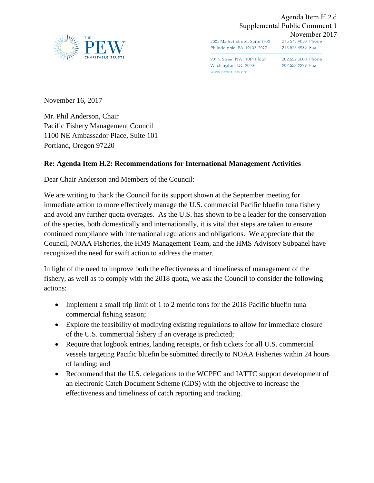

Agenda Item H.2.d Supplemental Public Comment 1

2005 Market Street, Suite 1700 Philadelphia, PA 19103-7077

November 2017<br>215.575.9050 Phone 215.575.4939 Fax

901 E Street NW, 10th Floor 202.552.2000 Phone Washington, DC 20004 www.pewtrusts.org

202.552.2299 Fax

November 16, 2017

Mr. Phil Anderson, Chair Pacific Fishery Management Council 1100 NE Ambassador Place, Suite 101 Portland, Oregon 97220

## **Re: Agenda Item H.2: Recommendations for International Management Activities**

Dear Chair Anderson and Members of the Council:

We are writing to thank the Council for its support shown at the September meeting for immediate action to more effectively manage the U.S. commercial Pacific bluefin tuna fishery and avoid any further quota overages. As the U.S. has shown to be a leader for the conservation of the species, both domestically and internationally, it is vital that steps are taken to ensure continued compliance with international regulations and obligations. We appreciate that the Council, NOAA Fisheries, the HMS Management Team, and the HMS Advisory Subpanel have recognized the need for swift action to address the matter.

In light of the need to improve both the effectiveness and timeliness of management of the fishery, as well as to comply with the 2018 quota, we ask the Council to consider the following actions:

- Implement a small trip limit of 1 to 2 metric tons for the 2018 Pacific bluefin tuna commercial fishing season;
- Explore the feasibility of modifying existing regulations to allow for immediate closure of the U.S. commercial fishery if an overage is predicted;
- Require that logbook entries, landing receipts, or fish tickets for all U.S. commercial vessels targeting Pacific bluefin be submitted directly to NOAA Fisheries within 24 hours of landing; and
- Recommend that the U.S. delegations to the WCPFC and IATTC support development of an electronic Catch Document Scheme (CDS) with the objective to increase the effectiveness and timeliness of catch reporting and tracking.